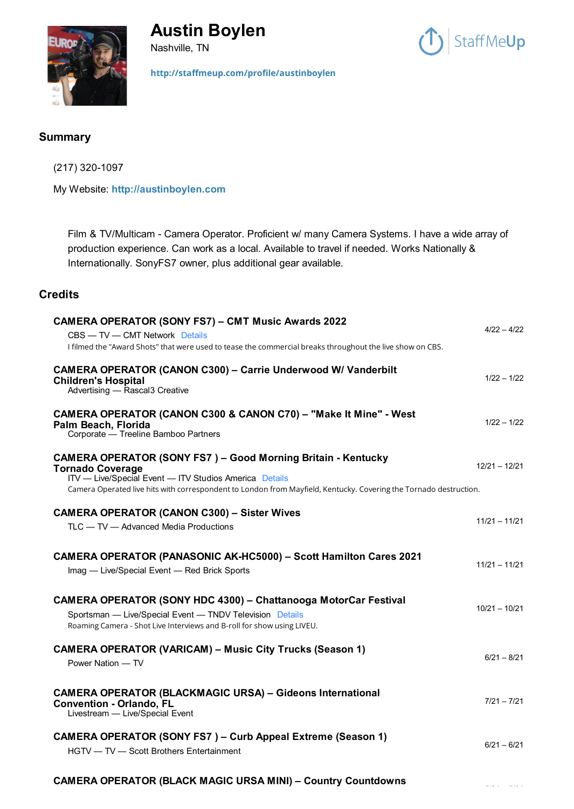

# **Austin Boylen**

Nashville, TN



**<http://staffmeup.com/profile/austinboylen>**

### **Summary**

(217) 320-1097

My Website: **[http://austinboylen.com](http://austinboylen.com/)**

Film & TV/Multicam - Camera Operator. Proficient w/ many Camera Systems. I have a wide array of production experience. Can work as a local. Available to travel if needed. Works Nationally & Internationally. SonyFS7 owner, plus additional gear available.

## **Credits**

| <b>CAMERA OPERATOR (SONY FS7) - CMT Music Awards 2022</b><br>CBS - TV - CMT Network Details<br>I filmed the "Award Shots" that were used to tease the commercial breaks throughout the live show on CBS.                                                                      | $4/22 - 4/22$   |
|-------------------------------------------------------------------------------------------------------------------------------------------------------------------------------------------------------------------------------------------------------------------------------|-----------------|
| <b>CAMERA OPERATOR (CANON C300) - Carrie Underwood W/ Vanderbilt</b><br><b>Children's Hospital</b><br>Advertising - Rascal3 Creative                                                                                                                                          | $1/22 - 1/22$   |
| CAMERA OPERATOR (CANON C300 & CANON C70) - "Make It Mine" - West<br>Palm Beach, Florida<br>Corporate - Treeline Bamboo Partners                                                                                                                                               | $1/22 - 1/22$   |
| <b>CAMERA OPERATOR (SONY FS7) - Good Morning Britain - Kentucky</b><br><b>Tornado Coverage</b><br>ITV - Live/Special Event - ITV Studios America Details<br>Camera Operated live hits with correspondent to London from Mayfield, Kentucky. Covering the Tornado destruction. | $12/21 - 12/21$ |
| <b>CAMERA OPERATOR (CANON C300) - Sister Wives</b><br>TLC - TV - Advanced Media Productions                                                                                                                                                                                   | $11/21 - 11/21$ |
| <b>CAMERA OPERATOR (PANASONIC AK-HC5000) - Scott Hamilton Cares 2021</b><br>Imag - Live/Special Event - Red Brick Sports                                                                                                                                                      | $11/21 - 11/21$ |
| <b>CAMERA OPERATOR (SONY HDC 4300) - Chattanooga MotorCar Festival</b><br>Sportsman - Live/Special Event - TNDV Television Details<br>Roaming Camera - Shot Live Interviews and B-roll for show using LIVEU.                                                                  | $10/21 - 10/21$ |
| <b>CAMERA OPERATOR (VARICAM) - Music City Trucks (Season 1)</b><br>Power Nation - TV                                                                                                                                                                                          | $6/21 - 8/21$   |
| <b>CAMERA OPERATOR (BLACKMAGIC URSA) - Gideons International</b><br><b>Convention - Orlando, FL</b><br>Livestream - Live/Special Event                                                                                                                                        | $7/21 - 7/21$   |
| <b>CAMERA OPERATOR (SONY FS7) - Curb Appeal Extreme (Season 1)</b><br>HGTV - TV - Scott Brothers Entertainment                                                                                                                                                                | $6/21 - 6/21$   |

#### **[CAMERA OPERATOR \(BLACK MAGIC URSA MINI\) – Country Countdowns](https://staffmeup.com/title/TV/2021/Country-Countdowns/1112367?season=1)**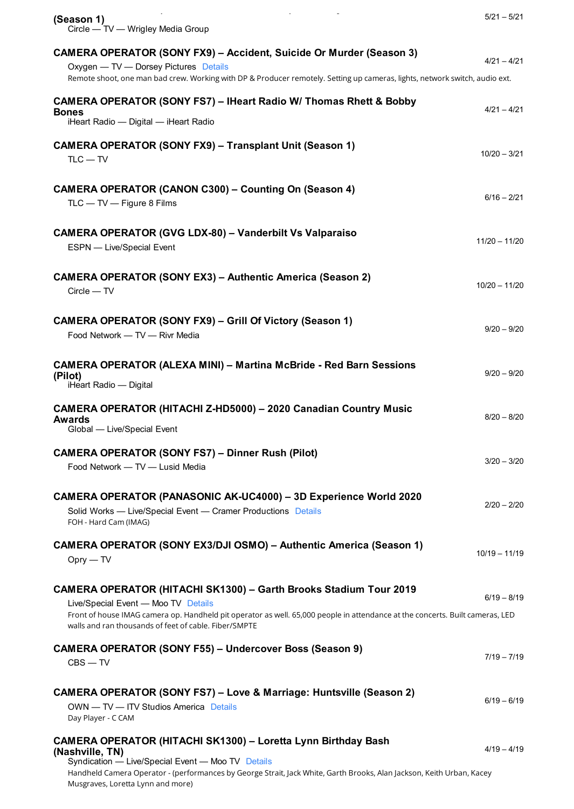| and the state of the state<br>$\sim$<br>(Season 1)<br>Circle — TV — Wrigley Media Group                                                                                                                                                                                                                   | $5/21 - 5/21$   |
|-----------------------------------------------------------------------------------------------------------------------------------------------------------------------------------------------------------------------------------------------------------------------------------------------------------|-----------------|
| <b>CAMERA OPERATOR (SONY FX9) - Accident, Suicide Or Murder (Season 3)</b><br>Oxygen - TV - Dorsey Pictures Details<br>Remote shoot, one man bad crew. Working with DP & Producer remotely. Setting up cameras, lights, network switch, audio ext.                                                        | $4/21 - 4/21$   |
| <b>CAMERA OPERATOR (SONY FS7) - IHeart Radio W/ Thomas Rhett &amp; Bobby</b><br><b>Bones</b><br>iHeart Radio - Digital - iHeart Radio                                                                                                                                                                     | $4/21 - 4/21$   |
| <b>CAMERA OPERATOR (SONY FX9) - Transplant Unit (Season 1)</b><br>$TLC - TV$                                                                                                                                                                                                                              | $10/20 - 3/21$  |
| <b>CAMERA OPERATOR (CANON C300) - Counting On (Season 4)</b><br>$TLC - TV - Figure 8$ Films                                                                                                                                                                                                               | $6/16 - 2/21$   |
| <b>CAMERA OPERATOR (GVG LDX-80) - Vanderbilt Vs Valparaiso</b><br>ESPN - Live/Special Event                                                                                                                                                                                                               | $11/20 - 11/20$ |
| <b>CAMERA OPERATOR (SONY EX3) - Authentic America (Season 2)</b><br>$Circle - TV$                                                                                                                                                                                                                         | $10/20 - 11/20$ |
| <b>CAMERA OPERATOR (SONY FX9) – Grill Of Victory (Season 1)</b><br>Food Network - TV - Rivr Media                                                                                                                                                                                                         | $9/20 - 9/20$   |
| <b>CAMERA OPERATOR (ALEXA MINI) - Martina McBride - Red Barn Sessions</b><br>(Pilot)<br>iHeart Radio - Digital                                                                                                                                                                                            | $9/20 - 9/20$   |
| CAMERA OPERATOR (HITACHI Z-HD5000) - 2020 Canadian Country Music<br><b>Awards</b><br>Global - Live/Special Event                                                                                                                                                                                          | $8/20 - 8/20$   |
| <b>CAMERA OPERATOR (SONY FS7) - Dinner Rush (Pilot)</b><br>Food Network - TV - Lusid Media                                                                                                                                                                                                                | $3/20 - 3/20$   |
| CAMERA OPERATOR (PANASONIC AK-UC4000) - 3D Experience World 2020<br>Solid Works - Live/Special Event - Cramer Productions Details<br>FOH - Hard Cam (IMAG)                                                                                                                                                | $2/20 - 2/20$   |
| <b>CAMERA OPERATOR (SONY EX3/DJI OSMO) - Authentic America (Season 1)</b><br>$Opry - TV$                                                                                                                                                                                                                  | $10/19 - 11/19$ |
| <b>CAMERA OPERATOR (HITACHI SK1300) - Garth Brooks Stadium Tour 2019</b><br>Live/Special Event - Moo TV Details<br>Front of house IMAG camera op. Handheld pit operator as well. 65,000 people in attendance at the concerts. Built cameras, LED<br>walls and ran thousands of feet of cable. Fiber/SMPTE | $6/19 - 8/19$   |
| <b>CAMERA OPERATOR (SONY F55) - Undercover Boss (Season 9)</b><br>$CBS - TV$                                                                                                                                                                                                                              | $7/19 - 7/19$   |
| <b>CAMERA OPERATOR (SONY FS7) - Love &amp; Marriage: Huntsville (Season 2)</b><br>OWN - TV - ITV Studios America Details<br>Day Player - C CAM                                                                                                                                                            | $6/19 - 6/19$   |
| CAMERA OPERATOR (HITACHI SK1300) - Loretta Lynn Birthday Bash<br>(Nashville, TN)<br>Syndication - Live/Special Event - Moo TV Details<br>Handheld Camera Operator - (performances by George Strait, Jack White, Garth Brooks, Alan Jackson, Keith Urban, Kacey<br>Musgraves, Loretta Lynn and more)       | $4/19 - 4/19$   |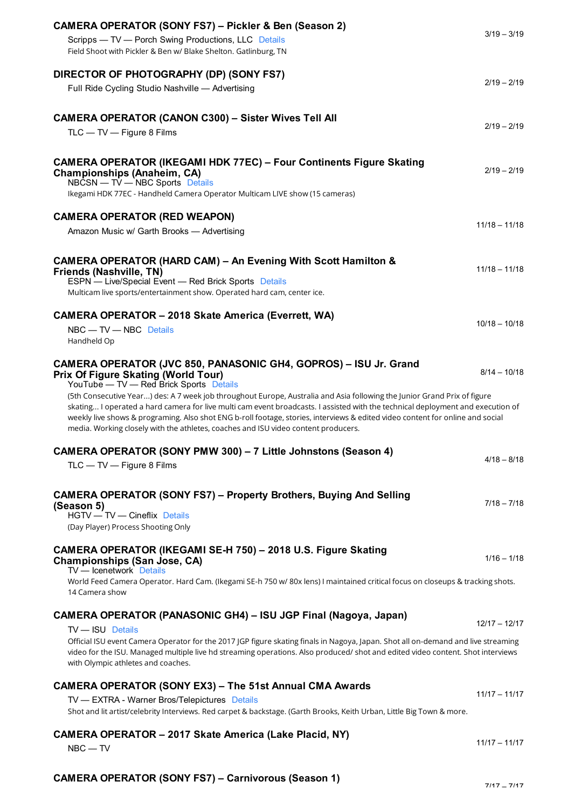| CAMERA OPERATOR (SONY FS7) - Pickler & Ben (Season 2)<br>Scripps - TV - Porch Swing Productions, LLC Details<br>Field Shoot with Pickler & Ben w/ Blake Shelton. Gatlinburg, TN                                                                                                                                                                                                                         | $3/19 - 3/19$   |
|---------------------------------------------------------------------------------------------------------------------------------------------------------------------------------------------------------------------------------------------------------------------------------------------------------------------------------------------------------------------------------------------------------|-----------------|
| DIRECTOR OF PHOTOGRAPHY (DP) (SONY FS7)<br>Full Ride Cycling Studio Nashville - Advertising                                                                                                                                                                                                                                                                                                             | $2/19 - 2/19$   |
| <b>CAMERA OPERATOR (CANON C300) - Sister Wives Tell All</b><br>TLC - TV - Figure 8 Films                                                                                                                                                                                                                                                                                                                | $2/19 - 2/19$   |
| <b>CAMERA OPERATOR (IKEGAMI HDK 77EC) – Four Continents Figure Skating</b><br><b>Championships (Anaheim, CA)</b><br>NBCSN — TV — NBC Sports Details<br>Ikegami HDK 77EC - Handheld Camera Operator Multicam LIVE show (15 cameras)                                                                                                                                                                      | $2/19 - 2/19$   |
| <b>CAMERA OPERATOR (RED WEAPON)</b>                                                                                                                                                                                                                                                                                                                                                                     |                 |
| Amazon Music w/ Garth Brooks - Advertising                                                                                                                                                                                                                                                                                                                                                              | $11/18 - 11/18$ |
| CAMERA OPERATOR (HARD CAM) - An Evening With Scott Hamilton &<br>Friends (Nashville, TN)<br>ESPN - Live/Special Event - Red Brick Sports Details<br>Multicam live sports/entertainment show. Operated hard cam, center ice.                                                                                                                                                                             | $11/18 - 11/18$ |
| <b>CAMERA OPERATOR - 2018 Skate America (Everrett, WA)</b><br>$NBC - TV - NBC$ Details<br>Handheld Op                                                                                                                                                                                                                                                                                                   | $10/18 - 10/18$ |
| CAMERA OPERATOR (JVC 850, PANASONIC GH4, GOPROS) - ISU Jr. Grand<br><b>Prix Of Figure Skating (World Tour)</b><br>YouTube — TV — Red Brick Sports Details<br>(5th Consecutive Year) des: A 7 week job throughout Europe, Australia and Asia following the Junior Grand Prix of figure                                                                                                                   | $8/14 - 10/18$  |
| skating I operated a hard camera for live multi cam event broadcasts. I assisted with the technical deployment and execution of<br>weekly live shows & programing. Also shot ENG b-roll footage, stories, interviews & edited video content for online and social<br>media. Working closely with the athletes, coaches and ISU video content producers.                                                 |                 |
| CAMERA OPERATOR (SONY PMW 300) - 7 Little Johnstons (Season 4)                                                                                                                                                                                                                                                                                                                                          |                 |
| TLC - TV - Figure 8 Films                                                                                                                                                                                                                                                                                                                                                                               | $4/18 - 8/18$   |
| <b>CAMERA OPERATOR (SONY FS7) - Property Brothers, Buying And Selling</b><br>(Season 5)<br>HGTV - TV - Cineflix Details<br>(Day Player) Process Shooting Only                                                                                                                                                                                                                                           | $7/18 - 7/18$   |
| CAMERA OPERATOR (IKEGAMI SE-H 750) - 2018 U.S. Figure Skating<br><b>Championships (San Jose, CA)</b><br>TV - Icenetwork Details                                                                                                                                                                                                                                                                         | $1/16 - 1/18$   |
| World Feed Camera Operator. Hard Cam. (Ikegami SE-h 750 w/80x lens) I maintained critical focus on closeups & tracking shots.<br>14 Camera show                                                                                                                                                                                                                                                         |                 |
| <b>CAMERA OPERATOR (PANASONIC GH4) – ISU JGP Final (Nagoya, Japan)</b><br>TV - ISU Details<br>Official ISU event Camera Operator for the 2017 JGP figure skating finals in Nagoya, Japan. Shot all on-demand and live streaming<br>video for the ISU. Managed multiple live hd streaming operations. Also produced/shot and edited video content. Shot interviews<br>with Olympic athletes and coaches. | $12/17 - 12/17$ |
| <b>CAMERA OPERATOR (SONY EX3) - The 51st Annual CMA Awards</b>                                                                                                                                                                                                                                                                                                                                          |                 |
| TV - EXTRA - Warner Bros/Telepictures Details                                                                                                                                                                                                                                                                                                                                                           | $11/17 - 11/17$ |
| Shot and lit artist/celebrity Interviews. Red carpet & backstage. (Garth Brooks, Keith Urban, Little Big Town & more.                                                                                                                                                                                                                                                                                   |                 |
| <b>CAMERA OPERATOR - 2017 Skate America (Lake Placid, NY)</b><br>$NBC - TV$                                                                                                                                                                                                                                                                                                                             | $11/17 - 11/17$ |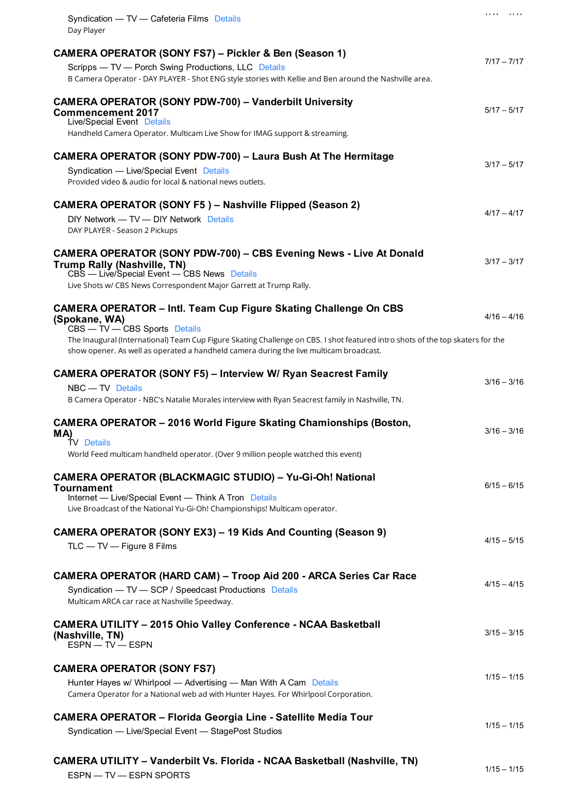| Syndication - TV - Cafeteria Films Details<br>Day Player                                                                                                                                                                                                                                                                                       | $(111 - 111)$ |
|------------------------------------------------------------------------------------------------------------------------------------------------------------------------------------------------------------------------------------------------------------------------------------------------------------------------------------------------|---------------|
| CAMERA OPERATOR (SONY FS7) - Pickler & Ben (Season 1)<br>Scripps - TV - Porch Swing Productions, LLC Details<br>B Camera Operator - DAY PLAYER - Shot ENG style stories with Kellie and Ben around the Nashville area.                                                                                                                         | $7/17 - 7/17$ |
| <b>CAMERA OPERATOR (SONY PDW-700) - Vanderbilt University</b><br><b>Commencement 2017</b><br>Live/Special Event Details<br>Handheld Camera Operator. Multicam Live Show for IMAG support & streaming.                                                                                                                                          | $5/17 - 5/17$ |
| <b>CAMERA OPERATOR (SONY PDW-700) - Laura Bush At The Hermitage</b><br>Syndication - Live/Special Event Details<br>Provided video & audio for local & national news outlets.                                                                                                                                                                   | $3/17 - 5/17$ |
| <b>CAMERA OPERATOR (SONY F5) - Nashville Flipped (Season 2)</b><br>DIY Network - TV - DIY Network Details<br>DAY PLAYER - Season 2 Pickups                                                                                                                                                                                                     | $4/17 - 4/17$ |
| <b>CAMERA OPERATOR (SONY PDW-700) - CBS Evening News - Live At Donald</b><br><b>Trump Rally (Nashville, TN)</b><br>CBS - Live/Special Event - CBS News Details<br>Live Shots w/ CBS News Correspondent Major Garrett at Trump Rally.                                                                                                           | $3/17 - 3/17$ |
| CAMERA OPERATOR - Intl. Team Cup Figure Skating Challenge On CBS<br>(Spokane, WA)<br>CBS - TV - CBS Sports Details<br>The Inaugural (International) Team Cup Figure Skating Challenge on CBS. I shot featured intro shots of the top skaters for the<br>show opener. As well as operated a handheld camera during the live multicam broadcast. | $4/16 - 4/16$ |
| <b>CAMERA OPERATOR (SONY F5) - Interview W/ Ryan Seacrest Family</b><br>NBC - TV Details<br>B Camera Operator - NBC's Natalie Morales interview with Ryan Seacrest family in Nashville, TN.                                                                                                                                                    | $3/16 - 3/16$ |
| <b>CAMERA OPERATOR - 2016 World Figure Skating Chamionships (Boston,</b><br>MA)<br>TV Details<br>World Feed multicam handheld operator. (Over 9 million people watched this event)                                                                                                                                                             | $3/16 - 3/16$ |
| <b>CAMERA OPERATOR (BLACKMAGIC STUDIO) - Yu-Gi-Oh! National</b><br>Tournament<br>Internet - Live/Special Event - Think A Tron Details<br>Live Broadcast of the National Yu-Gi-Oh! Championships! Multicam operator.                                                                                                                            | $6/15 - 6/15$ |
| CAMERA OPERATOR (SONY EX3) – 19 Kids And Counting (Season 9)<br>$TLC - TV - Figure 8$ Films                                                                                                                                                                                                                                                    | $4/15 - 5/15$ |
| <b>CAMERA OPERATOR (HARD CAM) - Troop Aid 200 - ARCA Series Car Race</b><br>Syndication - TV - SCP / Speedcast Productions Details<br>Multicam ARCA car race at Nashville Speedway.                                                                                                                                                            | $4/15 - 4/15$ |
| <b>CAMERA UTILITY - 2015 Ohio Valley Conference - NCAA Basketball</b><br>(Nashville, TN)<br>ESPN - TV - ESPN                                                                                                                                                                                                                                   | $3/15 - 3/15$ |
| <b>CAMERA OPERATOR (SONY FS7)</b><br>Hunter Hayes w/ Whirlpool - Advertising - Man With A Cam Details<br>Camera Operator for a National web ad with Hunter Hayes. For Whirlpool Corporation.                                                                                                                                                   | $1/15 - 1/15$ |
| <b>CAMERA OPERATOR - Florida Georgia Line - Satellite Media Tour</b><br>Syndication - Live/Special Event - StagePost Studios                                                                                                                                                                                                                   | $1/15 - 1/15$ |
| <b>CAMERA UTILITY - Vanderbilt Vs. Florida - NCAA Basketball (Nashville, TN)</b><br>ESPN - TV - ESPN SPORTS                                                                                                                                                                                                                                    | $1/15 - 1/15$ |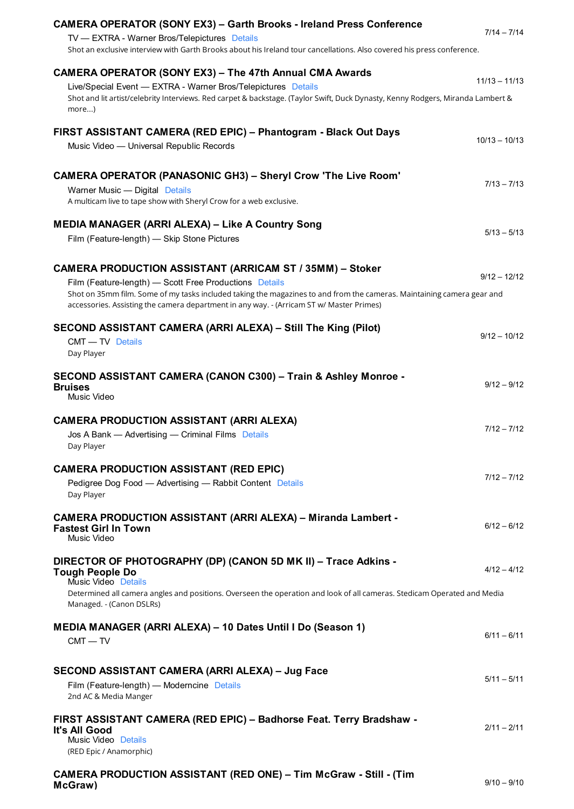| <b>CAMERA OPERATOR (SONY EX3) - Garth Brooks - Ireland Press Conference</b><br>TV - EXTRA - Warner Bros/Telepictures Details<br>Shot an exclusive interview with Garth Brooks about his Ireland tour cancellations. Also covered his press conference.                                                                                   | $7/14 - 7/14$   |
|------------------------------------------------------------------------------------------------------------------------------------------------------------------------------------------------------------------------------------------------------------------------------------------------------------------------------------------|-----------------|
| <b>CAMERA OPERATOR (SONY EX3) - The 47th Annual CMA Awards</b><br>Live/Special Event - EXTRA - Warner Bros/Telepictures Details<br>Shot and lit artist/celebrity Interviews. Red carpet & backstage. (Taylor Swift, Duck Dynasty, Kenny Rodgers, Miranda Lambert &<br>more)                                                              | $11/13 - 11/13$ |
| FIRST ASSISTANT CAMERA (RED EPIC) - Phantogram - Black Out Days<br>Music Video - Universal Republic Records                                                                                                                                                                                                                              | $10/13 - 10/13$ |
| <b>CAMERA OPERATOR (PANASONIC GH3) - Sheryl Crow 'The Live Room'</b><br>Warner Music - Digital Details<br>A multicam live to tape show with Sheryl Crow for a web exclusive.                                                                                                                                                             | $7/13 - 7/13$   |
| <b>MEDIA MANAGER (ARRI ALEXA) - Like A Country Song</b><br>Film (Feature-length) - Skip Stone Pictures                                                                                                                                                                                                                                   | $5/13 - 5/13$   |
| CAMERA PRODUCTION ASSISTANT (ARRICAM ST / 35MM) - Stoker<br>Film (Feature-length) - Scott Free Productions Details<br>Shot on 35mm film. Some of my tasks included taking the magazines to and from the cameras. Maintaining camera gear and<br>accessories. Assisting the camera department in any way. - (Arricam ST w/ Master Primes) | $9/12 - 12/12$  |
| SECOND ASSISTANT CAMERA (ARRI ALEXA) - Still The King (Pilot)<br><b>CMT - TV Details</b><br>Day Player                                                                                                                                                                                                                                   | $9/12 - 10/12$  |
| SECOND ASSISTANT CAMERA (CANON C300) - Train & Ashley Monroe -<br><b>Bruises</b><br>Music Video                                                                                                                                                                                                                                          | $9/12 - 9/12$   |
| <b>CAMERA PRODUCTION ASSISTANT (ARRI ALEXA)</b><br>Jos A Bank - Advertising - Criminal Films Details<br>Day Player                                                                                                                                                                                                                       | $7/12 - 7/12$   |
| <b>CAMERA PRODUCTION ASSISTANT (RED EPIC)</b><br>Pedigree Dog Food — Advertising — Rabbit Content Details<br>Day Player                                                                                                                                                                                                                  | $7/12 - 7/12$   |
| <b>CAMERA PRODUCTION ASSISTANT (ARRI ALEXA) - Miranda Lambert -</b><br><b>Fastest Girl In Town</b><br>Music Video                                                                                                                                                                                                                        | $6/12 - 6/12$   |
| DIRECTOR OF PHOTOGRAPHY (DP) (CANON 5D MK II) - Trace Adkins -<br><b>Tough People Do</b><br>Music Video Details<br>Determined all camera angles and positions. Overseen the operation and look of all cameras. Stedicam Operated and Media<br>Managed. - (Canon DSLRs)                                                                   | $4/12 - 4/12$   |
| MEDIA MANAGER (ARRI ALEXA) – 10 Dates Until I Do (Season 1)<br>$CMT - TV$                                                                                                                                                                                                                                                                | $6/11 - 6/11$   |
| SECOND ASSISTANT CAMERA (ARRI ALEXA) - Jug Face<br>Film (Feature-length) - Moderncine Details<br>2nd AC & Media Manger                                                                                                                                                                                                                   | $5/11 - 5/11$   |
| FIRST ASSISTANT CAMERA (RED EPIC) - Badhorse Feat. Terry Bradshaw -<br>It's All Good<br>Music Video Details<br>(RED Epic / Anamorphic)                                                                                                                                                                                                   | $2/11 - 2/11$   |

**[CAMERA PRODUCTION ASSISTANT \(RED ONE\) – Tim McGraw - Still - \(Tim](https://staffmeup.com/title/Music-Video/2010/Tim-McGraw-Still-Tim-McGraw/1002203) McGraw)**